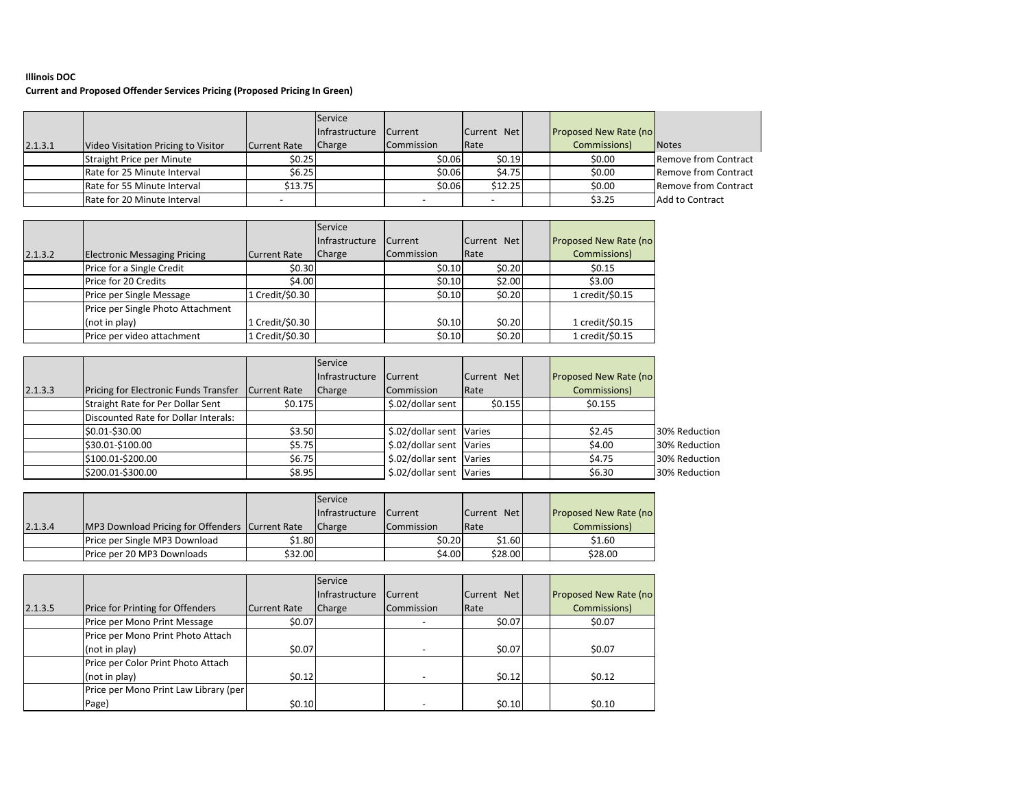## **Illinois DOC**

## **Current and Proposed Offender Services Pricing (Proposed Pricing In Green)**

|         |                                     |                     | Service               |                |             |                               |                             |
|---------|-------------------------------------|---------------------|-----------------------|----------------|-------------|-------------------------------|-----------------------------|
|         |                                     |                     | <b>Infrastructure</b> | <b>Current</b> | Current Net | <b>Proposed New Rate (no)</b> |                             |
| 2.1.3.1 | Video Visitation Pricing to Visitor | <b>Current Rate</b> | <b>Charge</b>         | Commission     | Rate        | Commissions)                  | <b>Notes</b>                |
|         | Straight Price per Minute           | \$0.25              |                       | \$0.06         | \$0.19      | \$0.00                        | <b>Remove from Contract</b> |
|         | Rate for 25 Minute Interval         | \$6.25              |                       | \$0.06         | \$4.75      | \$0.00                        | <b>Remove from Contract</b> |
|         | Rate for 55 Minute Interval         | \$13.75             |                       | \$0.06         | \$12.25     | \$0.00                        | <b>Remove from Contract</b> |
|         | Rate for 20 Minute Interval         |                     |                       |                |             | \$3.25                        | Add to Contract             |

|         |                                     |                 | Service        |                |             |                              |
|---------|-------------------------------------|-----------------|----------------|----------------|-------------|------------------------------|
|         |                                     |                 | Infrastructure | <b>Current</b> | Current Net | <b>Proposed New Rate (no</b> |
| 2.1.3.2 | <b>Electronic Messaging Pricing</b> | Current Rate    | <b>Charge</b>  | Commission     | Rate        | Commissions)                 |
|         | Price for a Single Credit           | \$0.30          |                | \$0.10         | \$0.20      | \$0.15                       |
|         | Price for 20 Credits                | \$4.00          |                | \$0.10         | \$2.00      | \$3.00                       |
|         | Price per Single Message            | 1 Credit/\$0.30 |                | \$0.10         | \$0.20      | 1 credit/\$0.15              |
|         | Price per Single Photo Attachment   |                 |                |                |             |                              |
|         | (not in play)                       | 1 Credit/\$0.30 |                | 50.10          | \$0.20      | 1 credit/\$0.15              |
|         | Price per video attachment          | 1 Credit/\$0.30 |                | \$0.10         | \$0.20      | 1 credit/\$0.15              |

|         |                                       |              | Service        |                          |             |                              |               |
|---------|---------------------------------------|--------------|----------------|--------------------------|-------------|------------------------------|---------------|
|         |                                       |              | Infrastructure | <b>Current</b>           | Current Net | <b>Proposed New Rate (no</b> |               |
| 2.1.3.3 | Pricing for Electronic Funds Transfer | Current Rate | Charge         | Commission               | Rate        | Commissions)                 |               |
|         | Straight Rate for Per Dollar Sent     | \$0.175      |                | \$.02/dollar sent        | \$0.155     | \$0.155                      |               |
|         | Discounted Rate for Dollar Interals:  |              |                |                          |             |                              |               |
|         | \$0.01-\$30.00                        | \$3.50       |                | \$.02/dollar sent Varies |             | \$2.45                       | 30% Reduction |
|         | \$30.01-\$100.00                      | \$5.75       |                | \$.02/dollar sent Varies |             | \$4.00                       | 30% Reduction |
|         | \$100.01-\$200.00                     | \$6.75       |                | \$.02/dollar sent Varies |             | \$4.75                       | 30% Reduction |
|         | \$200.01-\$300.00                     | \$8.95       |                | \$.02/dollar sent Varies |             | \$6.30                       | 30% Reduction |

|         |                                                 |         | Service               |                   |             |                              |
|---------|-------------------------------------------------|---------|-----------------------|-------------------|-------------|------------------------------|
|         |                                                 |         | <b>Infrastructure</b> | <b>Current</b>    | Current Net | <b>Proposed New Rate (no</b> |
| 2.1.3.4 | MP3 Download Pricing for Offenders Current Rate |         | <b>Charge</b>         | <b>Commission</b> | Rate        | Commissions)                 |
|         | Price per Single MP3 Download                   | \$1.80  |                       | \$0.20            | \$1.60      | \$1.60                       |
|         | Price per 20 MP3 Downloads                      | \$32.00 |                       | \$4.00            | \$28.00     | \$28.00                      |

|         |                                         |              | Service        |                |             |                               |
|---------|-----------------------------------------|--------------|----------------|----------------|-------------|-------------------------------|
|         |                                         |              | Infrastructure | <b>Current</b> | Current Net | <b>Proposed New Rate (no)</b> |
| 2.1.3.5 | <b>Price for Printing for Offenders</b> | Current Rate | <b>Charge</b>  | Commission     | Rate        | Commissions)                  |
|         | Price per Mono Print Message            | \$0.07       |                |                | \$0.07      | \$0.07                        |
|         | Price per Mono Print Photo Attach       |              |                |                |             |                               |
|         | (not in play)                           | \$0.07       |                |                | \$0.07      | \$0.07                        |
|         | Price per Color Print Photo Attach      |              |                |                |             |                               |
|         | (not in play)                           | \$0.12       |                |                | \$0.12      | \$0.12                        |
|         | Price per Mono Print Law Library (per   |              |                |                |             |                               |
|         | Page)                                   | \$0.10       |                |                | \$0.10      | \$0.10                        |